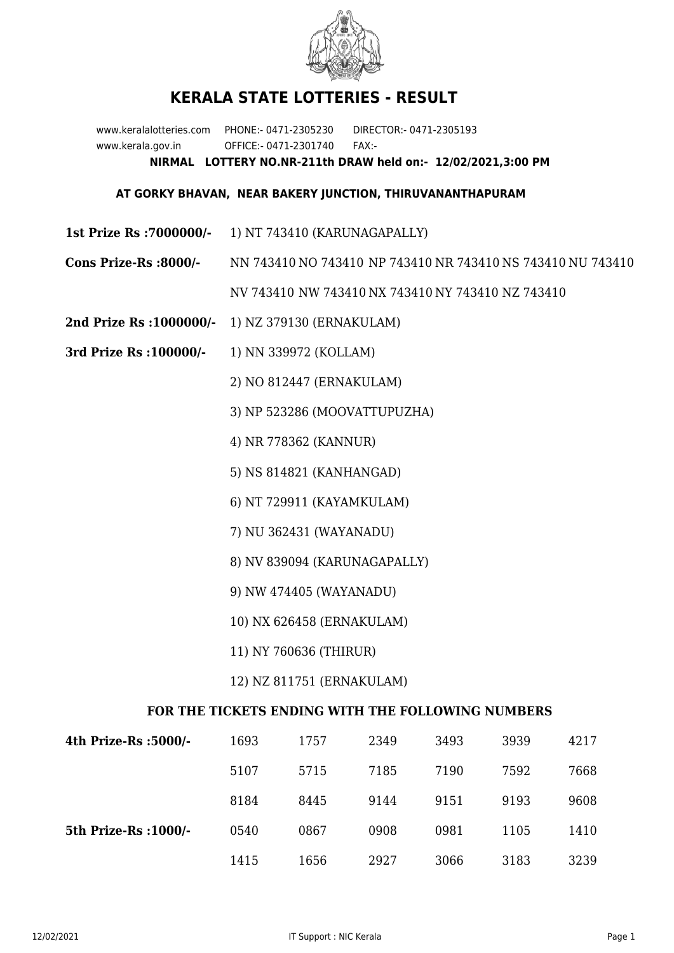

## **KERALA STATE LOTTERIES - RESULT**

www.keralalotteries.com PHONE:- 0471-2305230 DIRECTOR:- 0471-2305193 www.kerala.gov.in OFFICE:- 0471-2301740 FAX:- **NIRMAL LOTTERY NO.NR-211th DRAW held on:- 12/02/2021,3:00 PM**

## **AT GORKY BHAVAN, NEAR BAKERY JUNCTION, THIRUVANANTHAPURAM**

- **1st Prize Rs :7000000/-** 1) NT 743410 (KARUNAGAPALLY)
- **Cons Prize-Rs :8000/-** NN 743410 NO 743410 NP 743410 NR 743410 NS 743410 NU 743410

NV 743410 NW 743410 NX 743410 NY 743410 NZ 743410

- **2nd Prize Rs :1000000/-** 1) NZ 379130 (ERNAKULAM)
- **3rd Prize Rs :100000/-** 1) NN 339972 (KOLLAM)

2) NO 812447 (ERNAKULAM)

3) NP 523286 (MOOVATTUPUZHA)

- 4) NR 778362 (KANNUR)
- 5) NS 814821 (KANHANGAD)
- 6) NT 729911 (KAYAMKULAM)
- 7) NU 362431 (WAYANADU)
- 8) NV 839094 (KARUNAGAPALLY)
- 9) NW 474405 (WAYANADU)
- 10) NX 626458 (ERNAKULAM)
- 11) NY 760636 (THIRUR)
- 12) NZ 811751 (ERNAKULAM)

## **FOR THE TICKETS ENDING WITH THE FOLLOWING NUMBERS**

| 4th Prize-Rs :5000/-  | 1693 | 1757 | 2349 | 3493 | 3939 | 4217 |
|-----------------------|------|------|------|------|------|------|
|                       | 5107 | 5715 | 7185 | 7190 | 7592 | 7668 |
|                       | 8184 | 8445 | 9144 | 9151 | 9193 | 9608 |
| 5th Prize-Rs : 1000/- | 0540 | 0867 | 0908 | 0981 | 1105 | 1410 |
|                       | 1415 | 1656 | 2927 | 3066 | 3183 | 3239 |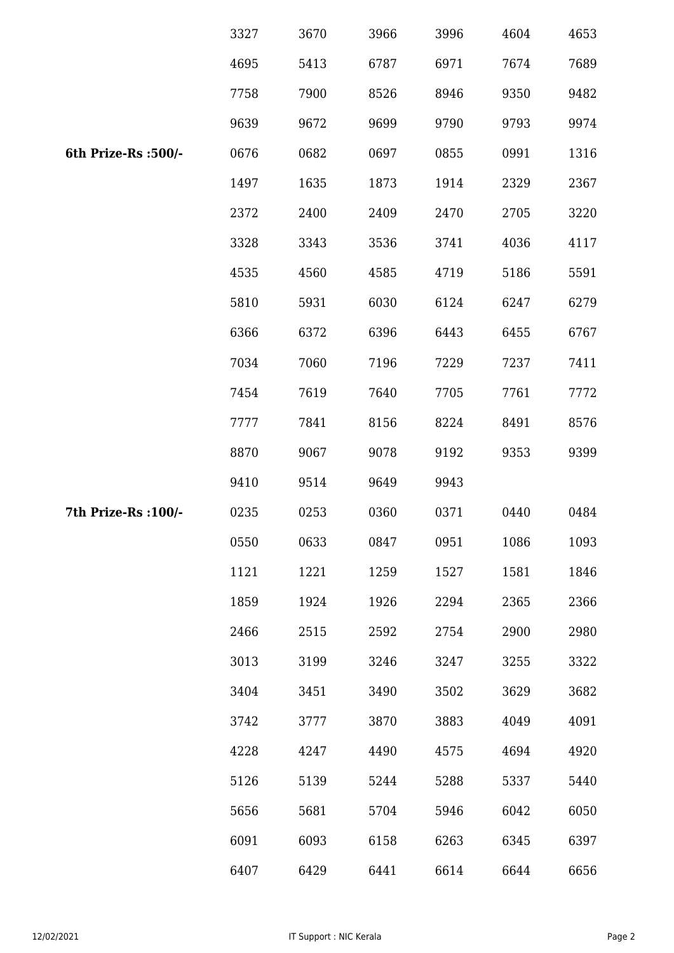|                      | 3327 | 3670 | 3966 | 3996 | 4604 | 4653 |
|----------------------|------|------|------|------|------|------|
|                      | 4695 | 5413 | 6787 | 6971 | 7674 | 7689 |
|                      | 7758 | 7900 | 8526 | 8946 | 9350 | 9482 |
|                      | 9639 | 9672 | 9699 | 9790 | 9793 | 9974 |
| 6th Prize-Rs :500/-  | 0676 | 0682 | 0697 | 0855 | 0991 | 1316 |
|                      | 1497 | 1635 | 1873 | 1914 | 2329 | 2367 |
|                      | 2372 | 2400 | 2409 | 2470 | 2705 | 3220 |
|                      | 3328 | 3343 | 3536 | 3741 | 4036 | 4117 |
|                      | 4535 | 4560 | 4585 | 4719 | 5186 | 5591 |
|                      | 5810 | 5931 | 6030 | 6124 | 6247 | 6279 |
|                      | 6366 | 6372 | 6396 | 6443 | 6455 | 6767 |
|                      | 7034 | 7060 | 7196 | 7229 | 7237 | 7411 |
|                      | 7454 | 7619 | 7640 | 7705 | 7761 | 7772 |
|                      | 7777 | 7841 | 8156 | 8224 | 8491 | 8576 |
|                      | 8870 | 9067 | 9078 | 9192 | 9353 | 9399 |
|                      | 9410 | 9514 | 9649 | 9943 |      |      |
| 7th Prize-Rs : 100/- | 0235 | 0253 | 0360 | 0371 | 0440 | 0484 |
|                      | 0550 | 0633 | 0847 | 0951 | 1086 | 1093 |
|                      | 1121 | 1221 | 1259 | 1527 | 1581 | 1846 |
|                      | 1859 | 1924 | 1926 | 2294 | 2365 | 2366 |
|                      | 2466 | 2515 | 2592 | 2754 | 2900 | 2980 |
|                      | 3013 | 3199 | 3246 | 3247 | 3255 | 3322 |
|                      | 3404 | 3451 | 3490 | 3502 | 3629 | 3682 |
|                      | 3742 | 3777 | 3870 | 3883 | 4049 | 4091 |
|                      | 4228 | 4247 | 4490 | 4575 | 4694 | 4920 |
|                      | 5126 | 5139 | 5244 | 5288 | 5337 | 5440 |
|                      | 5656 | 5681 | 5704 | 5946 | 6042 | 6050 |
|                      | 6091 | 6093 | 6158 | 6263 | 6345 | 6397 |
|                      | 6407 | 6429 | 6441 | 6614 | 6644 | 6656 |